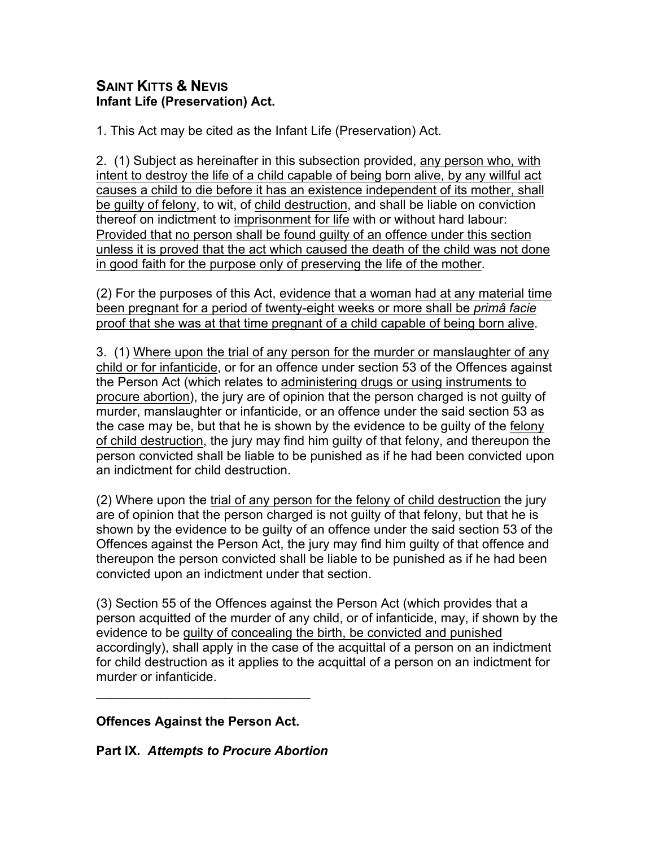## **SAINT KITTS & NEVIS Infant Life (Preservation) Act.**

1. This Act may be cited as the Infant Life (Preservation) Act.

2. (1) Subject as hereinafter in this subsection provided, any person who, with intent to destroy the life of a child capable of being born alive, by any willful act causes a child to die before it has an existence independent of its mother, shall be guilty of felony, to wit, of child destruction, and shall be liable on conviction thereof on indictment to imprisonment for life with or without hard labour: Provided that no person shall be found guilty of an offence under this section unless it is proved that the act which caused the death of the child was not done in good faith for the purpose only of preserving the life of the mother.

(2) For the purposes of this Act, evidence that a woman had at any material time been pregnant for a period of twenty-eight weeks or more shall be *primâ facie* proof that she was at that time pregnant of a child capable of being born alive.

3. (1) Where upon the trial of any person for the murder or manslaughter of any child or for infanticide, or for an offence under section 53 of the Offences against the Person Act (which relates to administering drugs or using instruments to procure abortion), the jury are of opinion that the person charged is not guilty of murder, manslaughter or infanticide, or an offence under the said section 53 as the case may be, but that he is shown by the evidence to be guilty of the felony of child destruction, the jury may find him guilty of that felony, and thereupon the person convicted shall be liable to be punished as if he had been convicted upon an indictment for child destruction.

(2) Where upon the trial of any person for the felony of child destruction the jury are of opinion that the person charged is not guilty of that felony, but that he is shown by the evidence to be guilty of an offence under the said section 53 of the Offences against the Person Act, the jury may find him guilty of that offence and thereupon the person convicted shall be liable to be punished as if he had been convicted upon an indictment under that section.

(3) Section 55 of the Offences against the Person Act (which provides that a person acquitted of the murder of any child, or of infanticide, may, if shown by the evidence to be guilty of concealing the birth, be convicted and punished accordingly), shall apply in the case of the acquittal of a person on an indictment for child destruction as it applies to the acquittal of a person on an indictment for murder or infanticide.

**Offences Against the Person Act.**

 $\mathcal{L}=\{1,2,3,4,5\}$ 

**Part IX.** *Attempts to Procure Abortion*